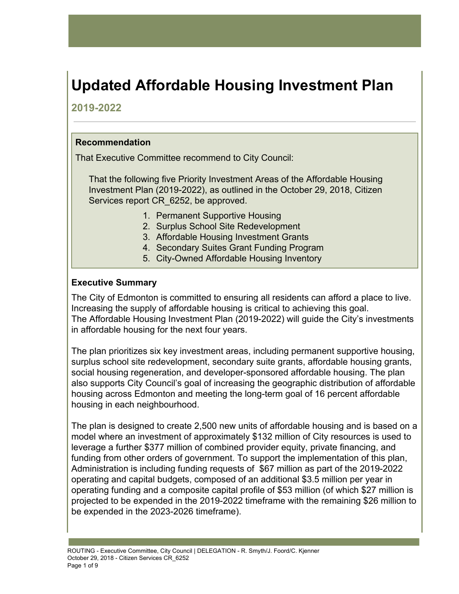# **Updated Affordable Housing Investment Plan**

## **2019-2022**

## **Recommendation**

That Executive Committee recommend to City Council:

That the following five Priority Investment Areas of the Affordable Housing Investment Plan (2019-2022), as outlined in the October 29, 2018, Citizen Services report CR 6252, be approved.

- 1. Permanent Supportive Housing
- 2. Surplus School Site Redevelopment
- 3. Affordable Housing Investment Grants
- 4. Secondary Suites Grant Funding Program
- 5. City-Owned Affordable Housing Inventory

### **Executive Summary**

The City of Edmonton is committed to ensuring all residents can afford a place to live. Increasing the supply of affordable housing is critical to achieving this goal. The Affordable Housing Investment Plan (2019-2022) will guide the City's investments in affordable housing for the next four years.

The plan prioritizes six key investment areas, including permanent supportive housing, surplus school site redevelopment, secondary suite grants, affordable housing grants, social housing regeneration, and developer-sponsored affordable housing. The plan also supports City Council's goal of increasing the geographic distribution of affordable housing across Edmonton and meeting the long-term goal of 16 percent affordable housing in each neighbourhood.

The plan is designed to create 2,500 new units of affordable housing and is based on a model where an investment of approximately \$132 million of City resources is used to leverage a further \$377 million of combined provider equity, private financing, and funding from other orders of government. To support the implementation of this plan, Administration is including funding requests of \$67 million as part of the 2019-2022 operating and capital budgets, composed of an additional \$3.5 million per year in operating funding and a composite capital profile of \$53 million (of which \$27 million is projected to be expended in the 2019-2022 timeframe with the remaining \$26 million to be expended in the 2023-2026 timeframe).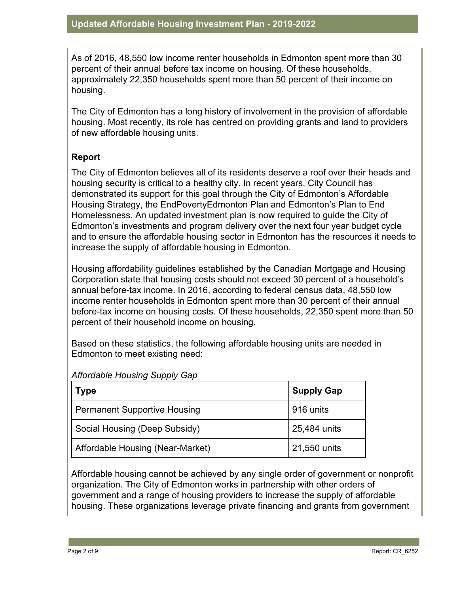As of 2016, 48,550 low income renter households in Edmonton spent more than 30 percent of their annual before tax income on housing. Of these households, approximately 22,350 households spent more than 50 percent of their income on housing.

The City of Edmonton has a long history of involvement in the provision of affordable housing. Most recently, its role has centred on providing grants and land to providers of new affordable housing units.

### **Report**

The City of Edmonton believes all of its residents deserve a roof over their heads and housing security is critical to a healthy city. In recent years, City Council has demonstrated its support for this goal through the City of Edmonton's Affordable Housing Strategy, the EndPovertyEdmonton Plan and Edmonton's Plan to End Homelessness. An updated investment plan is now required to guide the City of Edmonton's investments and program delivery over the next four year budget cycle and to ensure the affordable housing sector in Edmonton has the resources it needs to increase the supply of affordable housing in Edmonton.

Housing affordability guidelines established by the Canadian Mortgage and Housing Corporation state that housing costs should not exceed 30 percent of a household's annual before-tax income. In 2016, according to federal census data, 48,550 low income renter households in Edmonton spent more than 30 percent of their annual before-tax income on housing costs. Of these households, 22,350 spent more than 50 percent of their household income on housing.

Based on these statistics, the following affordable housing units are needed in Edmonton to meet existing need:

| Type                                | <b>Supply Gap</b> |
|-------------------------------------|-------------------|
| <b>Permanent Supportive Housing</b> | 916 units         |
| Social Housing (Deep Subsidy)       | 25,484 units      |
| Affordable Housing (Near-Market)    | 21,550 units      |

### *Affordable Housing Supply Gap*

Affordable housing cannot be achieved by any single order of government or nonprofit organization. The City of Edmonton works in partnership with other orders of government and a range of housing providers to increase the supply of affordable housing. These organizations leverage private financing and grants from government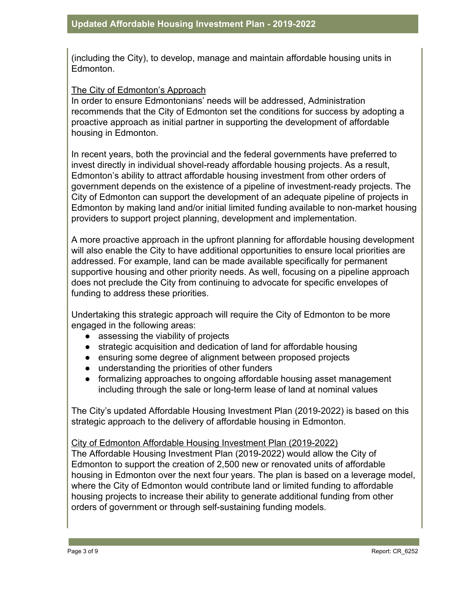(including the City), to develop, manage and maintain affordable housing units in Edmonton.

#### The City of Edmonton's Approach

In order to ensure Edmontonians' needs will be addressed, Administration recommends that the City of Edmonton set the conditions for success by adopting a proactive approach as initial partner in supporting the development of affordable housing in Edmonton.

In recent years, both the provincial and the federal governments have preferred to invest directly in individual shovel-ready affordable housing projects. As a result, Edmonton's ability to attract affordable housing investment from other orders of government depends on the existence of a pipeline of investment-ready projects. The City of Edmonton can support the development of an adequate pipeline of projects in Edmonton by making land and/or initial limited funding available to non-market housing providers to support project planning, development and implementation.

A more proactive approach in the upfront planning for affordable housing development will also enable the City to have additional opportunities to ensure local priorities are addressed. For example, land can be made available specifically for permanent supportive housing and other priority needs. As well, focusing on a pipeline approach does not preclude the City from continuing to advocate for specific envelopes of funding to address these priorities.

Undertaking this strategic approach will require the City of Edmonton to be more engaged in the following areas:

- assessing the viability of projects
- strategic acquisition and dedication of land for affordable housing
- ensuring some degree of alignment between proposed projects
- understanding the priorities of other funders
- formalizing approaches to ongoing affordable housing asset management including through the sale or long-term lease of land at nominal values

The City's updated Affordable Housing Investment Plan (2019-2022) is based on this strategic approach to the delivery of affordable housing in Edmonton.

### City of Edmonton Affordable Housing Investment Plan (2019-2022)

The Affordable Housing Investment Plan (2019-2022) would allow the City of Edmonton to support the creation of 2,500 new or renovated units of affordable housing in Edmonton over the next four years. The plan is based on a leverage model, where the City of Edmonton would contribute land or limited funding to affordable housing projects to increase their ability to generate additional funding from other orders of government or through self-sustaining funding models.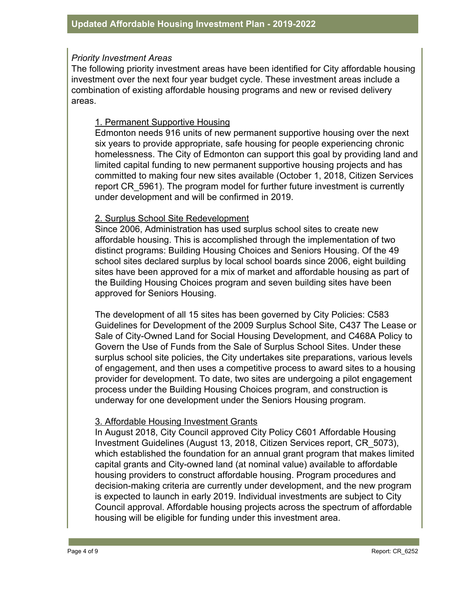#### *Priority Investment Areas*

The following priority investment areas have been identified for City affordable housing investment over the next four year budget cycle. These investment areas include a combination of existing affordable housing programs and new or revised delivery areas.

#### 1. Permanent Supportive Housing

Edmonton needs 916 units of new permanent supportive housing over the next six years to provide appropriate, safe housing for people experiencing chronic homelessness. The City of Edmonton can support this goal by providing land and limited capital funding to new permanent supportive housing projects and has committed to making four new sites available (October 1, 2018, Citizen Services report CR\_5961). The program model for further future investment is currently under development and will be confirmed in 2019.

#### 2. Surplus School Site Redevelopment

Since 2006, Administration has used surplus school sites to create new affordable housing. This is accomplished through the implementation of two distinct programs: Building Housing Choices and Seniors Housing. Of the 49 school sites declared surplus by local school boards since 2006, eight building sites have been approved for a mix of market and affordable housing as part of the Building Housing Choices program and seven building sites have been approved for Seniors Housing.

The development of all 15 sites has been governed by City Policies: C583 Guidelines for Development of the 2009 Surplus School Site, C437 The Lease or Sale of City-Owned Land for Social Housing Development, and C468A Policy to Govern the Use of Funds from the Sale of Surplus School Sites. Under these surplus school site policies, the City undertakes site preparations, various levels of engagement, and then uses a competitive process to award sites to a housing provider for development. To date, two sites are undergoing a pilot engagement process under the Building Housing Choices program, and construction is underway for one development under the Seniors Housing program.

### 3. Affordable Housing Investment Grants

In August 2018, City Council approved City Policy C601 Affordable Housing Investment Guidelines (August 13, 2018, Citizen Services report, CR\_5073), which established the foundation for an annual grant program that makes limited capital grants and City-owned land (at nominal value) available to affordable housing providers to construct affordable housing. Program procedures and decision-making criteria are currently under development, and the new program is expected to launch in early 2019. Individual investments are subject to City Council approval. Affordable housing projects across the spectrum of affordable housing will be eligible for funding under this investment area.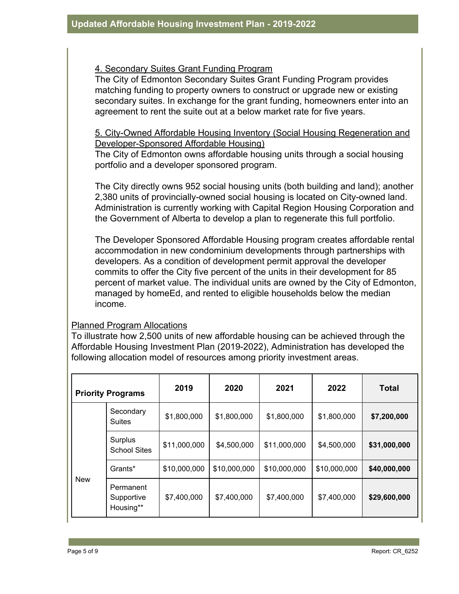### 4. Secondary Suites Grant Funding Program

The City of Edmonton Secondary Suites Grant Funding Program provides matching funding to property owners to construct or upgrade new or existing secondary suites. In exchange for the grant funding, homeowners enter into an agreement to rent the suite out at a below market rate for five years.

## 5. City-Owned Affordable Housing Inventory (Social Housing Regeneration and Developer-Sponsored Affordable Housing)

The City of Edmonton owns affordable housing units through a social housing portfolio and a developer sponsored program.

The City directly owns 952 social housing units (both building and land); another 2,380 units of provincially-owned social housing is located on City-owned land. Administration is currently working with Capital Region Housing Corporation and the Government of Alberta to develop a plan to regenerate this full portfolio.

The Developer Sponsored Affordable Housing program creates affordable rental accommodation in new condominium developments through partnerships with developers. As a condition of development permit approval the developer commits to offer the City five percent of the units in their development for 85 percent of market value. The individual units are owned by the City of Edmonton, managed by homeEd, and rented to eligible households below the median income.

#### Planned Program Allocations

To illustrate how 2,500 units of new affordable housing can be achieved through the Affordable Housing Investment Plan (2019-2022), Administration has developed the following allocation model of resources among priority investment areas.

|            | <b>Priority Programs</b>             | 2019         | 2020         | 2021         | 2022         | <b>Total</b> |
|------------|--------------------------------------|--------------|--------------|--------------|--------------|--------------|
|            | Secondary<br><b>Suites</b>           | \$1,800,000  | \$1,800,000  | \$1,800,000  | \$1,800,000  | \$7,200,000  |
|            | Surplus<br><b>School Sites</b>       | \$11,000,000 | \$4,500,000  | \$11,000,000 | \$4,500,000  | \$31,000,000 |
|            | Grants*                              | \$10,000,000 | \$10,000,000 | \$10,000,000 | \$10,000,000 | \$40,000,000 |
| <b>New</b> | Permanent<br>Supportive<br>Housing** | \$7,400,000  | \$7,400,000  | \$7,400,000  | \$7,400,000  | \$29,600,000 |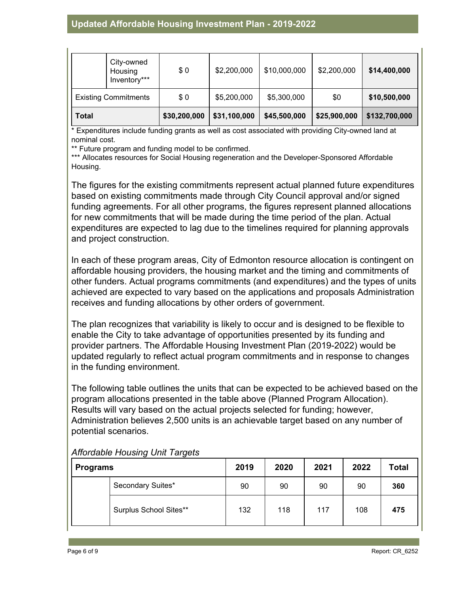|                             | City-owned<br>Housing<br>Inventory*** | \$0          | \$2,200,000  | \$10,000,000 | \$2,200,000  | \$14,400,000  |
|-----------------------------|---------------------------------------|--------------|--------------|--------------|--------------|---------------|
| <b>Existing Commitments</b> |                                       | \$0          | \$5,200,000  | \$5,300,000  | \$0          | \$10,500,000  |
| <b>Total</b>                |                                       | \$30,200,000 | \$31,100,000 | \$45,500,000 | \$25,900,000 | \$132,700,000 |

\* Expenditures include funding grants as well as cost associated with providing City-owned land at nominal cost.

\*\* Future program and funding model to be confirmed.

\*\*\* Allocates resources for Social Housing regeneration and the Developer-Sponsored Affordable Housing.

The figures for the existing commitments represent actual planned future expenditures based on existing commitments made through City Council approval and/or signed funding agreements. For all other programs, the figures represent planned allocations for new commitments that will be made during the time period of the plan. Actual expenditures are expected to lag due to the timelines required for planning approvals and project construction.

In each of these program areas, City of Edmonton resource allocation is contingent on affordable housing providers, the housing market and the timing and commitments of other funders. Actual programs commitments (and expenditures) and the types of units achieved are expected to vary based on the applications and proposals Administration receives and funding allocations by other orders of government.

The plan recognizes that variability is likely to occur and is designed to be flexible to enable the City to take advantage of opportunities presented by its funding and provider partners. The Affordable Housing Investment Plan (2019-2022) would be updated regularly to reflect actual program commitments and in response to changes in the funding environment.

The following table outlines the units that can be expected to be achieved based on the program allocations presented in the table above (Planned Program Allocation). Results will vary based on the actual projects selected for funding; however, Administration believes 2,500 units is an achievable target based on any number of potential scenarios.

| <b>Programs</b> |                        | 2019 | 2020 | 2021 | 2022 | <b>Total</b> |
|-----------------|------------------------|------|------|------|------|--------------|
|                 | Secondary Suites*      | 90   | 90   | 90   | 90   | 360          |
|                 | Surplus School Sites** | 132  | 118  | 117  | 108  | 475          |

*Affordable Housing Unit Targets*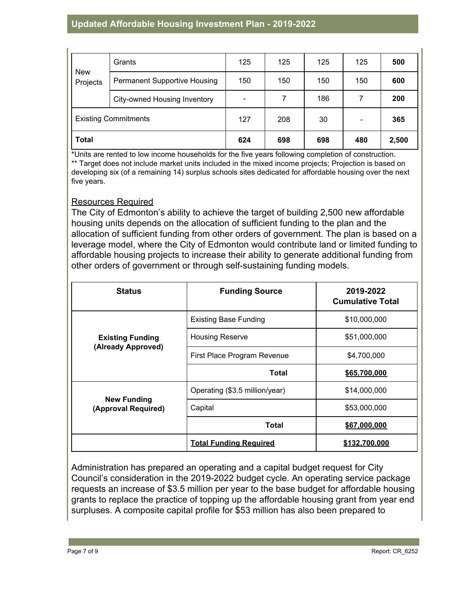## **Updated Affordable Housing Investment Plan - 2019-2022**

|                             | Grants                              | 125                          | 125 | 125 | 125 | 500   |
|-----------------------------|-------------------------------------|------------------------------|-----|-----|-----|-------|
| <b>New</b><br>Projects      | <b>Permanent Supportive Housing</b> | 150                          | 150 | 150 | 150 | 600   |
|                             | City-owned Housing Inventory        | $\qquad \qquad \blacksquare$ | 7   | 186 |     | 200   |
| <b>Existing Commitments</b> |                                     | 127                          | 208 | 30  | -   | 365   |
| <b>Total</b>                |                                     | 624                          | 698 | 698 | 480 | 2,500 |

\*Units are rented to low income households for the five years following completion of construction. \*\* Target does not include market units included in the mixed income projects; Projection is based on developing six (of a remaining 14) surplus schools sites dedicated for affordable housing over the next five years.

### Resources Required

The City of Edmonton's ability to achieve the target of building 2,500 new affordable housing units depends on the allocation of sufficient funding to the plan and the allocation of sufficient funding from other orders of government. The plan is based on a leverage model, where the City of Edmonton would contribute land or limited funding to affordable housing projects to increase their ability to generate additional funding from other orders of government or through self-sustaining funding models.

| <b>Status</b>                             | <b>Funding Source</b>          | 2019-2022<br><b>Cumulative Total</b> |  |
|-------------------------------------------|--------------------------------|--------------------------------------|--|
|                                           | <b>Existing Base Funding</b>   | \$10,000,000                         |  |
| <b>Existing Funding</b>                   | <b>Housing Reserve</b>         | \$51,000,000                         |  |
| (Already Approved)                        | First Place Program Revenue    | \$4,700,000                          |  |
|                                           | Total                          | \$65,700,000                         |  |
|                                           | Operating (\$3.5 million/year) | \$14,000,000                         |  |
| <b>New Funding</b><br>(Approval Required) | Capital                        | \$53,000,000                         |  |
|                                           | Total                          | \$67,000,000                         |  |
|                                           | <b>Total Funding Required</b>  | \$132,700,000                        |  |

Administration has prepared an operating and a capital budget request for City Council's consideration in the 2019-2022 budget cycle. An operating service package requests an increase of \$3.5 million per year to the base budget for affordable housing grants to replace the practice of topping up the affordable housing grant from year end surpluses. A composite capital profile for \$53 million has also been prepared to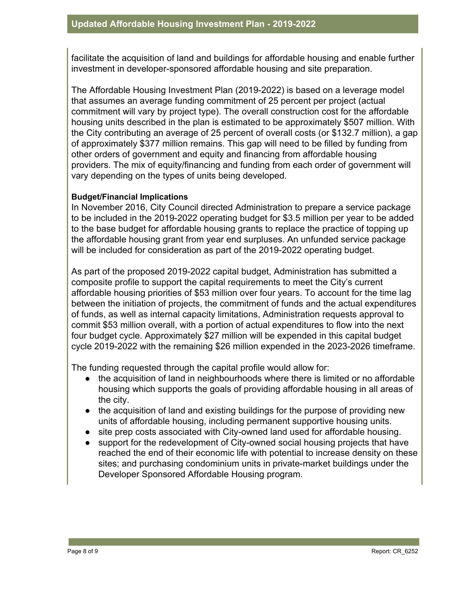facilitate the acquisition of land and buildings for affordable housing and enable further investment in developer-sponsored affordable housing and site preparation.

The Affordable Housing Investment Plan (2019-2022) is based on a leverage model that assumes an average funding commitment of 25 percent per project (actual commitment will vary by project type). The overall construction cost for the affordable housing units described in the plan is estimated to be approximately \$507 million. With the City contributing an average of 25 percent of overall costs (or \$132.7 million), a gap of approximately \$377 million remains. This gap will need to be filled by funding from other orders of government and equity and financing from affordable housing providers. The mix of equity/financing and funding from each order of government will vary depending on the types of units being developed.

#### **Budget/Financial Implications**

In November 2016, City Council directed Administration to prepare a service package to be included in the 2019-2022 operating budget for \$3.5 million per year to be added to the base budget for affordable housing grants to replace the practice of topping up the affordable housing grant from year end surpluses. An unfunded service package will be included for consideration as part of the 2019-2022 operating budget.

As part of the proposed 2019-2022 capital budget, Administration has submitted a composite profile to support the capital requirements to meet the City's current affordable housing priorities of \$53 million over four years. To account for the time lag between the initiation of projects, the commitment of funds and the actual expenditures of funds, as well as internal capacity limitations, Administration requests approval to commit \$53 million overall, with a portion of actual expenditures to flow into the next four budget cycle. Approximately \$27 million will be expended in this capital budget cycle 2019-2022 with the remaining \$26 million expended in the 2023-2026 timeframe.

The funding requested through the capital profile would allow for:

- the acquisition of land in neighbourhoods where there is limited or no affordable housing which supports the goals of providing affordable housing in all areas of the city.
- the acquisition of land and existing buildings for the purpose of providing new units of affordable housing, including permanent supportive housing units.
- site prep costs associated with City-owned land used for affordable housing.
- support for the redevelopment of City-owned social housing projects that have reached the end of their economic life with potential to increase density on these sites; and purchasing condominium units in private-market buildings under the Developer Sponsored Affordable Housing program.